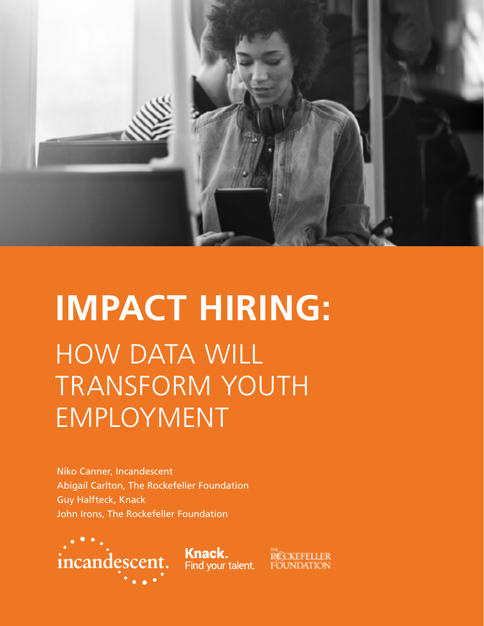

# **IMPACT HIRING:** HOW DATA WILL TRANSFORM YOUTH EMPLOYMENT

Niko Canner, Incandescent Abigail Carlton, The Rockefeller Foundation Guy Halfteck, Knack John Irons, The Rockefeller Foundation



**Knack.**<br>Find your talent.

RCCKEFELLER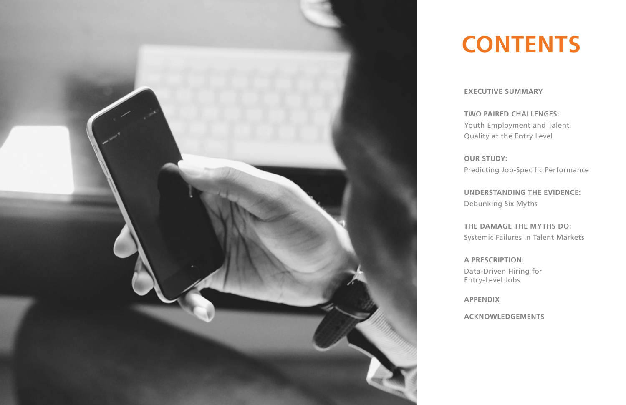**EXECUTIVE SUMMARY** 

**TWO PAIRED CHALLENGES:**  Youth Employment and Talent Quality at the Entry Level

**OUR STUDY:**  Predicting Job-Specific Performance

**UNDERSTANDING THE EVIDENCE:**  Debunking Six Myths

**THE DAMAGE THE MYTHS DO:**  Systemic Failures in Talent Markets

**A PRESCRIPTION:**  Data-Driven Hiring for Entry-Level Jobs

**APPENDIX**

**ACKNOWLEDGEMENTS**



# **CONTENTS**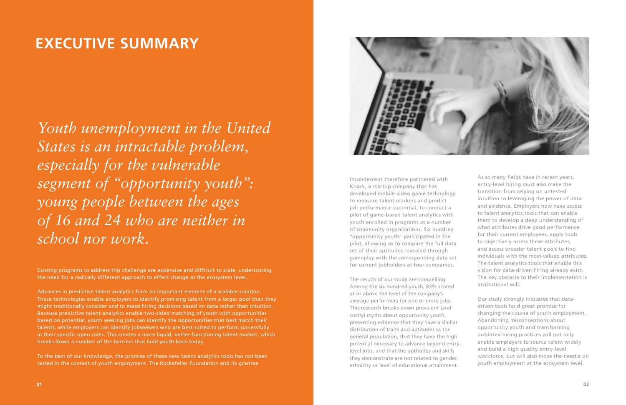Existing programs to address this challenge are expensive and difficult to scale, underscoring the need for a radically different approach to effect change at the ecosystem level.

Advances in predictive talent analytics form an important element of a scalable solution. These technologies enable employers to identify promising talent from a larger pool than they might traditionally consider and to make hiring decisions based on data rather than intuition. Because predictive talent analytics enable two-sided matching of youth with opportunities based on potential, youth seeking jobs can identify the opportunities that best match their talents, while employers can identify jobseekers who are best suited to perform successfully in their specific open roles. This creates a more liquid, better-functioning talent market, which breaks down a number of the barriers that hold youth back today.

To the best of our knowledge, the promise of these new talent analytics tools has not been tested in the context of youth employment. The Rockefeller Foundation and its grantee



### **EXECUTIVE SUMMARY**

*Youth unemployment in the United States is an intractable problem, especially for the vulnerable segment of "opportunity youth": young people between the ages of 16 and 24 who are neither in school nor work.*

Incandescent therefore partnered with Knack, a startup company that has developed mobile video game technology to measure talent markers and predict job performance potential, to conduct a pilot of game-based talent analytics with youth enrolled in programs at a number of community organizations. Six hundred "opportunity youth" participated in the pilot, allowing us to compare the full data set of their aptitudes revealed through gameplay with the corresponding data set for current jobholders at four companies.

The results of our study are compelling. Among the six hundred youth, 83% scored at or above the level of the company's average performers for one or more jobs. This research breaks down prevalent (and costly) myths about opportunity youth, presenting evidence that they have a similar distribution of traits and aptitudes as the general population, that they have the high potential necessary to advance beyond entrylevel jobs, and that the aptitudes and skills they demonstrate are not related to gender, ethnicity or level of educational attainment.

As so many fields have in recent years, entry-level hiring must also make the transition from relying on untested intuition to leveraging the power of data and evidence. Employers now have access to talent analytics tools that can enable them to develop a deep understanding of what attributes drive good performance for their current employees, apply tools to objectively assess these attributes, and access broader talent pools to find individuals with the most-valued attributes. The talent analytics tools that enable this vision for data-driven hiring already exist. The key obstacle to their implementation is institutional will.

Our study strongly indicates that datadriven tools hold great promise for changing the course of youth employment. Abandoning misconceptions about opportunity youth and transforming outdated hiring practices will not only enable employers to source talent widely and build a high quality entry-level workforce, but will also move the needle on youth employment at the ecosystem level.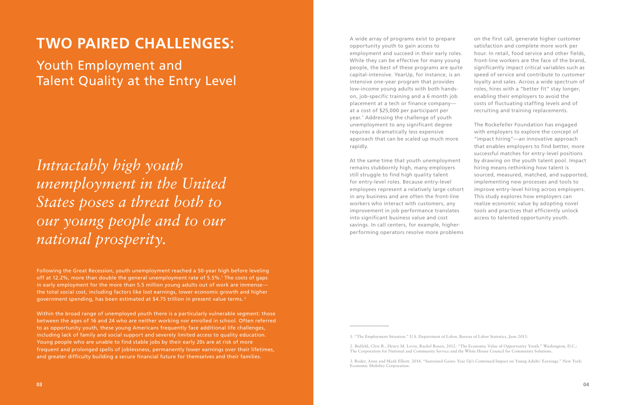### **TWO PAIRED CHALLENGES:**

Youth Employment and Talent Quality at the Entry Level

*Intractably high youth unemployment in the United States poses a threat both to our young people and to our national prosperity.* 

Following the Great Recession, youth unemployment reached a 50-year high before leveling off at 12.2%, more than double the general unemployment rate of 5.5%. $^1$  The costs of gaps in early employment for the more than 5.5 million young adults out of work are immense the total social cost, including factors like lost earnings, lower economic growth and higher government spending, has been estimated at \$4.75 trillion in present value terms. 2

Within the broad range of unemployed youth there is a particularly vulnerable segment: those between the ages of 16 and 24 who are neither working nor enrolled in school. Often referred to as opportunity youth, these young Americans frequently face additional life challenges, including lack of family and social support and severely limited access to quality education. Young people who are unable to find stable jobs by their early 20s are at risk of more frequent and prolonged spells of joblessness, permanently lower earnings over their lifetimes, and greater difficulty building a secure financial future for themselves and their families.

A wide array of programs exist to prepare opportunity youth to gain access to employment and succeed in their early roles. While they can be effective for many young people, the best of these programs are quite capital-intensive. YearUp, for instance, is an intensive one-year program that provides low-income young adults with both handson, job-specific training and a 6 month job placement at a tech or finance company at a cost of \$25,000 per participant per year.<sup>3</sup> Addressing the challenge of youth unemployment to any significant degree on the first call, generate higher customer satisfaction and complete more work per hour. In retail, food service and other fields, front-line workers are the face of the brand, significantly impact critical variables such as speed of service and contribute to customer loyalty and sales. Across a wide spectrum of roles, hires with a "better fit" stay longer, enabling their employers to avoid the costs of fluctuating staffing levels and of recruiting and training replacements. The Rockefeller Foundation has engaged with employers to explore the concept of "impact hiring"—an innovative approach

requires a dramatically less expensive approach that can be scaled up much more rapidly. At the same time that youth unemployment remains stubbornly high, many employers still struggle to find high quality talent for entry-level roles. Because entry-level employees represent a relatively large cohort in any business and are often the front-line workers who interact with customers, any improvement in job performance translates into significant business value and cost savings. In call centers, for example, higherperforming operators resolve more problems that enables employers to find better, more successful matches for entry-level positions by drawing on the youth talent pool. Impact hiring means rethinking how talent is sourced, measured, matched, and supported, implementing new processes and tools to improve entry-level hiring across employers. This study explores how employers can realize economic value by adopting novel tools and practices that efficiently unlock access to talented opportunity youth.

<sup>1. &</sup>quot;The Employment Situation." U.S. Department of Labor, Bureau of Labor Statistics, June 2015.

<sup>2.</sup> Bielfeld, Clive R., Henry M. Levin, Rachel Rosen, 2012. "The Economic Value of Opportunity Youth." Washington, D.C.: The Corporation for National and Community Service and the White House Council for Community Solutions.

<sup>3.</sup> Roder, Anne and Mark Elliott. 2014. "Sustained Gains: Year Up's Continued Impact on Young Adults' Earnings." New York: Economic Mobility Corporation.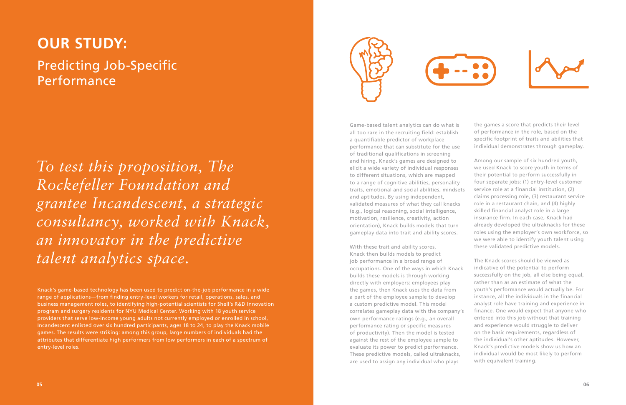### **OUR STUDY:**

Predicting Job-Specific Performance

Knack's game-based technology has been used to predict on-the-job performance in a wide range of applications—from finding entry-level workers for retail, operations, sales, and business management roles, to identifying high-potential scientists for Shell's R&D Innovation program and surgery residents for NYU Medical Center. Working with 18 youth service providers that serve low-income young adults not currently employed or enrolled in school, Incandescent enlisted over six hundred participants, ages 18 to 24, to play the Knack mobile games. The results were striking: among this group, large numbers of individuals had the attributes that differentiate high performers from low performers in each of a spectrum of entry-level roles.





Game-based talent analytics can do what is all too rare in the recruiting field: establish a quantifiable predictor of workplace performance that can substitute for the use of traditional qualifications in screening and hiring. Knack's games are designed to elicit a wide variety of individual responses to different situations, which are mapped to a range of cognitive abilities, personality traits, emotional and social abilities, mindsets and aptitudes. By using independent, validated measures of what they call knacks (e.g., logical reasoning, social intelligence, motivation, resilience, creativity, action orientation), Knack builds models that turn gameplay data into trait and ability scores.

With these trait and ability scores, Knack then builds models to predict job performance in a broad range of occupations. One of the ways in which Knack builds these models is through working directly with employers: employees play the games, then Knack uses the data from a part of the employee sample to develop a custom predictive model. This model correlates gameplay data with the company's own performance ratings (e.g., an overall performance rating or specific measures of productivity). Then the model is tested against the rest of the employee sample to evaluate its power to predict performance. These predictive models, called ultraknacks, are used to assign any individual who plays The Knack scores should be viewed as indicative of the potential to perform successfully on the job, all else being equal, rather than as an estimate of what the youth's performance would actually be. For instance, all the individuals in the financial analyst role have training and experience in finance. One would expect that anyone who entered into this job without that training and experience would struggle to deliver on the basic requirements, regardless of the individual's other aptitudes. However, Knack's predictive models show us how an individual would be most likely to perform with equivalent training.

*To test this proposition, The Rockefeller Foundation and grantee Incandescent, a strategic consultancy, worked with Knack, an innovator in the predictive talent analytics space.*

the games a score that predicts their level of performance in the role, based on the specific footprint of traits and abilities that individual demonstrates through gameplay.

Among our sample of six hundred youth, we used Knack to score youth in terms of their potential to perform successfully in four separate jobs: (1) entry-level customer service role at a financial institution, (2) claims processing role, (3) restaurant service role in a restaurant chain, and (4) highly skilled financial analyst role in a large insurance firm. In each case, Knack had already developed the ultraknacks for these roles using the employer's own workforce, so we were able to identify youth talent using these validated predictive models.

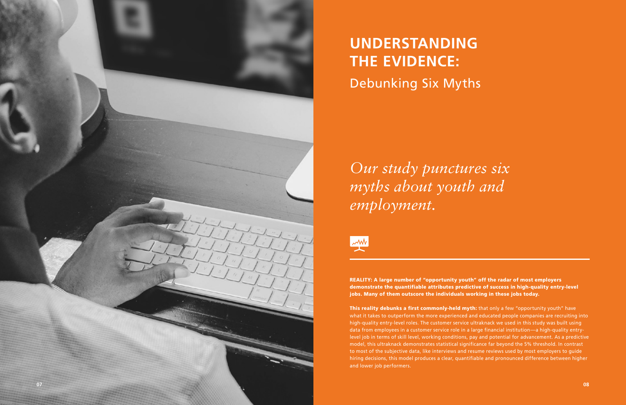

# **UNDERSTANDING THE EVIDENCE:** Debunking Six Myths

REALITY: A large number of "opportunity youth" off the radar of most employers demonstrate the quantifiable attributes predictive of success in high-quality entry-level jobs. Many of them outscore the individuals working in these jobs today.

This reality debunks a first commonly-held myth: that only a few "opportunity youth" have what it takes to outperform the more experienced and educated people companies are recruiting into high-quality entry-level roles. The customer service ultraknack we used in this study was built using data from employees in a customer service role in a large financial institution—a high-quality entrylevel job in terms of skill level, working conditions, pay and potential for advancement. As a predictive model, this ultraknack demonstrates statistical significance far beyond the 5% threshold. In contrast to most of the subjective data, like interviews and resume reviews used by most employers to guide hiring decisions, this model produces a clear, quantifiable and pronounced difference between higher and lower job performers.

*Our study punctures six myths about youth and employment.*

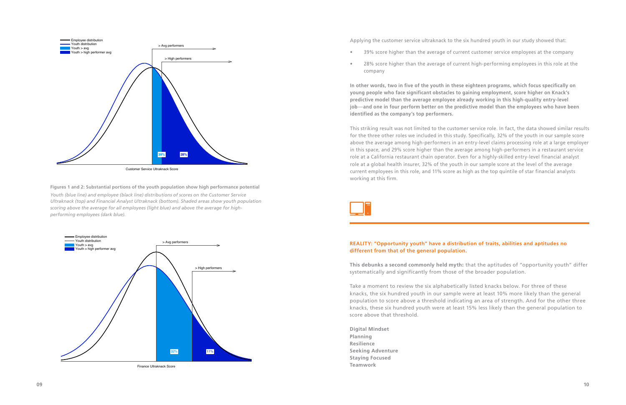



Applying the customer service ultraknack to the six hundred youth in our study showed that: • 39% score higher than the average of current customer service employees at the company

• 28% score higher than the average of current high-performing employees in this role at the

- 
- company

**In other words, two in five of the youth in these eighteen programs, which focus specifically on young people who face significant obstacles to gaining employment, score higher on Knack's predictive model than the average employee already working in this high-quality entry-level job**—**and one in four perform better on the predictive model than the employees who have been identified as the company's top performers.** 

This striking result was not limited to the customer service role. In fact, the data showed similar results for the three other roles we included in this study. Specifically, 32% of the youth in our sample score above the average among high-performers in an entry-level claims processing role at a large employer in this space, and 29% score higher than the average among high-performers in a restaurant service role at a California restaurant chain operator. Even for a highly-skilled entry-level financial analyst role at a global health insurer, 32% of the youth in our sample score at the level of the average current employees in this role, and 11% score as high as the top quintile of star financial analysts working at this firm.



**Figures 1 and 2: Substantial portions of the youth population show high performance potential** *Youth (blue line) and employee (black line) distributions of scores on the Customer Service Ultraknack (top) and Financial Analyst Ultraknack (bottom). Shaded areas show youth population scoring above the average for all employees (light blue) and above the average for highperforming employees (dark blue).*

### **REALITY: "Opportunity youth" have a distribution of traits, abilities and aptitudes no different from that of the general population.**

**This debunks a second commonly held myth**: that the aptitudes of "opportunity youth" differ systematically and significantly from those of the broader population.

Take a moment to review the six alphabetically listed knacks below. For three of these knacks, the six hundred youth in our sample were at least 10% more likely than the general population to score above a threshold indicating an area of strength. And for the other three knacks, these six hundred youth were at least 15% less likely than the general population to score above that threshold.

**Digital Mindset Planning Resilience Seeking Adventure Staying Focused Teamwork**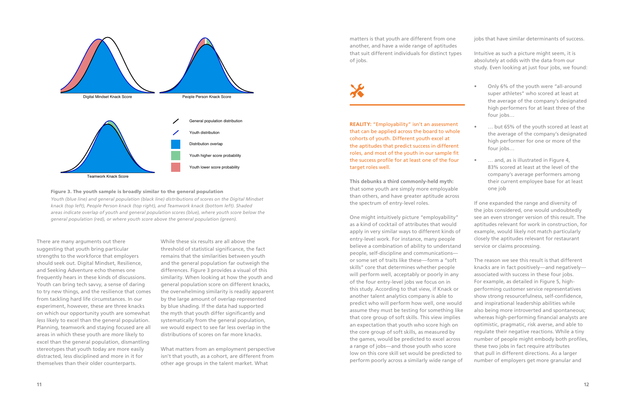

There are many arguments out there suggesting that youth bring particular strengths to the workforce that employers should seek out. Digital Mindset, Resilience, and Seeking Adventure echo themes one frequently hears in these kinds of discussions. Youth can bring tech savvy, a sense of daring to try new things, and the resilience that comes from tackling hard life circumstances. In our experiment, however, these are three knacks on which our opportunity youth are somewhat *less* likely to excel than the general population. Planning, teamwork and staying focused are all areas in which these youth are *more* likely to excel than the general population, dismantling stereotypes that youth today are more easily distracted, less disciplined and more in it for themselves than their older counterparts.

While these six results are all above the threshold of statistical significance, the fact remains that the similarities between youth and the general population far outweigh the differences. Figure 3 provides a visual of this similarity. When looking at how the youth and general population score on different knacks, the overwhelming similarity is readily apparent by the large amount of overlap represented by blue shading. If the data had supported the myth that youth differ significantly and systematically from the general population, we would expect to see far less overlap in the distributions of scores on far more knacks.

What matters from an employment perspective isn't that youth, as a cohort, are different from other age groups in the talent market. What

### Figure 3. The youth sample is broadly similar to the general population

*Youth (blue line) and general population (black line) distributions of scores on the Digital Mindset knack (top left), People Person knack (top right), and Teamwork knack (bottom left). Shaded areas indicate overlap of youth and general population scores (blue), where youth score below the general population (red), or where youth score above the general population (green).*

matters is that youth are different from one another, and have a wide range of aptitudes that suit different individuals for distinct types of jobs.

**REALITY:** "Employability" isn't an assessment that can be applied across the board to whole cohorts of youth. Different youth excel at the aptitudes that predict success in different roles, and most of the youth in our sample fit the success profile for at least one of the four target roles well.

**This debunks a third commonly-held myth:** that some youth are simply more employable than others, and have greater aptitude across the spectrum of entry-level roles.

One might intuitively picture "employability" as a kind of cocktail of attributes that would apply in very similar ways to different kinds of entry-level work. For instance, many people believe a combination of ability to understand people, self-discipline and communications or some set of traits like these—form a "soft skills" core that determines whether people will perform well, acceptably or poorly in any of the four entry-level jobs we focus on in this study. According to that view, if Knack or another talent analytics company is able to predict who will perform how well, one would assume they must be testing for something like that core group of soft skills. This view implies an expectation that youth who score high on the core group of soft skills, as measured by the games, would be predicted to excel across a range of jobs—and those youth who score low on this core skill set would be predicted to perform poorly across a similarly wide range of

jobs that have similar determinants of success.

- Intuitive as such a picture might seem, it is absolutely at odds with the data from our study. Even looking at just four jobs, we found:
	- Only 6% of the youth were "all-around super athletes" who scored at least at the average of the company's designated high performers for at least three of the four jobs…
	- ... but 65% of the youth scored at least at the average of the company's designated high performer for one or more of the four jobs…
	- ... and, as is illustrated in Figure 4, 83% scored at least at the level of the company's average performers among their current employee base for at least one job

If one expanded the range and diversity of the jobs considered, one would undoubtedly see an even stronger version of this result. The aptitudes relevant for work in construction, for example, would likely not match particularly closely the aptitudes relevant for restaurant service or claims processing.

The reason we see this result is that different knacks are in fact positively—and negatively associated with success in these four jobs. For example, as detailed in Figure 5, highperforming customer service representatives show strong resourcefulness, self-confidence, and inspirational leadership abilities while also being more introverted and spontaneous; whereas high-performing financial analysts are optimistic, pragmatic, risk averse, and able to regulate their negative reactions. While a tiny number of people might embody both profiles, these two jobs in fact require attributes that pull in different directions. As a larger number of employers get more granular and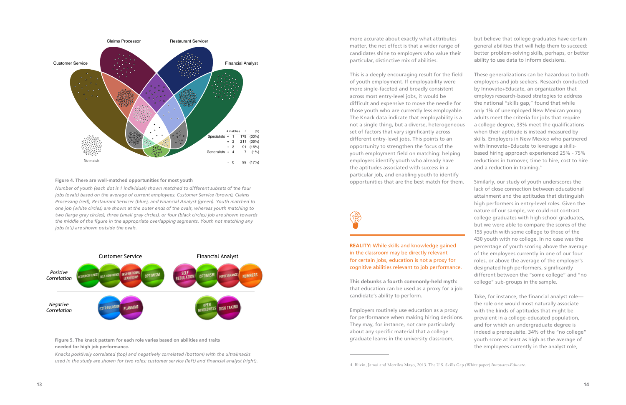

### Figure 4. There are well-matched opportunities for most youth example and the state opportunities that are the best match for them.

**performance.**  *Knacks positively correlated (top) and negatively correlated (bottom) with the ultraknacks* used in the study are shown for two roles: customer service (left) and financial analyst (right).



This is a deeply encouraging result for the field of youth employment. If employability were more single-faceted and broadly consistent across most entry-level jobs, it would be difficult and expensive to move the needle for those youth who are currently less employable. The Knack data indicate that employability is a not a single thing, but a diverse, heterogeneous set of factors that vary significantly across different entry-level jobs. This points to an opportunity to strengthen the focus of the youth employment field on matching: helping employers identify youth who already have the aptitudes associated with success in a particular job, and enabling youth to identify

**Figure X. The knack pattern for each role varies based on abilities and traits needed for high job needed for high job performance. Figure 5. The knack pattern for each role varies based on abilities and traits** 

*Number of youth (each dot is 1 individual) shown matched to different subsets of the four jobs (ovals) based on the average of current employees: Customer Service (brown), Claims Processing (red), Restaurant Servicer (blue), and Financial Analyst (green). Youth matched to one job (white circles) are shown at the outer ends of the ovals, whereas youth matching to two (large gray circles), three (small gray circles), or four (black circles) job are shown towards the middle of the figure in the appropriate overlapping segments. Youth not matching any jobs (x's) are shown outside the ovals.* 

more accurate about exactly what attributes matter, the net effect is that a wider range of candidates shine to employers who value their particular, distinctive mix of abilities. but believe that college graduates have certain general abilities that will help them to succeed: better problem-solving skills, perhaps, or better ability to use data to inform decisions.

**REALITY:** While skills and knowledge gained in the classroom may be directly relevant for certain jobs, education is not a proxy for cognitive abilities relevant to job performance.

**This debunks a fourth commonly-held myth:** that education can be used as a proxy for a job candidate's ability to perform.

Employers routinely use education as a proxy for performance when making hiring decisions. They may, for instance, not care particularly about any specific material that a college graduate learns in the university classroom,

- These generalizations can be hazardous to both employers and job seekers. Research conducted by Innovate+Educate, an organization that employs research-based strategies to address the national "skills gap," found that while only 1% of unemployed New Mexican young adults meet the criteria for jobs that require a college degree, 33% meet the qualifications when their aptitude is instead measured by skills. Employers in New Mexico who partnered with Innovate+Educate to leverage a skillsbased hiring approach experienced 25% - 75% reductions in turnover, time to hire, cost to hire and a reduction in training.<sup>4</sup>
- Similarly, our study of youth underscores the lack of close connection between educational attainment and the aptitudes that distinguish high performers in entry-level roles. Given the nature of our sample, we could not contrast college graduates with high school graduates, but we were able to compare the scores of the 155 youth with some college to those of the 430 youth with no college. In no case was the percentage of youth scoring above the average of the employees currently in one of our four roles, or above the average of the employer's designated high performers, significantly different between the "some college" and "no college" sub-groups in the sample.
- 

Take, for instance, the financial analyst role the role one would most naturally associate with the kinds of aptitudes that might be

prevalent in a college-educated population, and for which an undergraduate degree is indeed a prerequisite. 34% of the "no college" youth score at least as high as the average of the employees currently in the analyst role,

<sup>4.</sup> Blivin, Jamai and Merrilea Mayo, 2013. The U.S. Skills Gap (White paper) *Innovate+Educate.*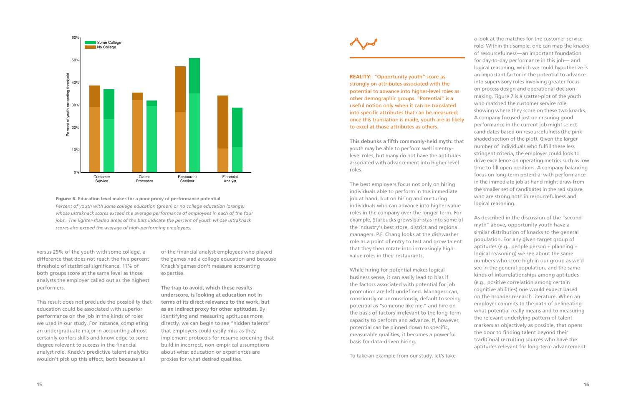

versus 29% of the youth with some college, a difference that does not reach the five percent threshold of statistical significance. 11% of both groups score at the same level as those analysts the employer called out as the highest performers.

This result does not preclude the possibility that education could be associated with superior performance on the job in the kinds of roles we used in our study. For instance, completing an undergraduate major in accounting almost certainly confers skills and knowledge to some degree relevant to success in the financial analyst role. Knack's predictive talent analytics wouldn't pick up this effect, both because all

Figure 6. **Education level makes for a poor proxy of performance potential** *Percent of youth with some college education (green) or no college education (orange) whose ultraknack scores exceed the average performance of employees in each of the four jobs. The lighter-shaded areas of the bars indicate the percent of youth whose ultraknack scores also exceed the average of high-performing employees.*

**REALITY: "Opportunity youth" score as** strongly on attributes associated with the potential to advance into higher-level roles as other demographic groups. "Potential" is a useful notion only when it can be translated into specific attributes that can be measured; once this translation is made, youth are as likely to excel at those attributes as others.

of the financial analyst employees who played the games had a college education and because Knack's games don't measure accounting expertise.

**The trap to avoid, which these results underscore, is looking at education not in terms of its direct relevance to the work, but as an indirect proxy for other aptitudes.** By identifying and measuring aptitudes more directly, we can begin to see "hidden talents" that employers could easily miss as they implement protocols for resume screening that build in incorrect, non-empirical assumptions about what education or experiences are proxies for what desired qualities.

**This debunks a fifth commonly-held myth:** that youth may be able to perform well in entrylevel roles, but many do not have the aptitudes associated with advancement into higher-level roles.

The best employers focus not only on hiring individuals able to perform in the immediate job at hand, but on hiring and nurturing individuals who can advance into higher-value roles in the company over the longer term. For example, Starbucks grows baristas into some of the industry's best store, district and regional managers. P.F. Chang looks at the dishwasher role as a point of entry to test and grow talent that they then rotate into increasingly highvalue roles in their restaurants.

While hiring for potential makes logical business sense, it can easily lead to bias if the factors associated with potential for job promotion are left undefined. Managers can, consciously or unconsciously, default to seeing potential as "someone like me," and hire on the basis of factors irrelevant to the long-term capacity to perform and advance. If, however, potential can be pinned down to specific, measurable qualities, it becomes a powerful basis for data-driven hiring.

To take an example from our study, let's take

a look at the matches for the customer service role. Within this sample, one can map the knacks of resourcefulness—an important foundation for day-to-day performance in this job— and logical reasoning, which we could hypothesize is an important factor in the potential to advance into supervisory roles involving greater focus on process design and operational decisionmaking. Figure 7 is a scatter-plot of the youth who matched the customer service role, showing where they score on these two knacks. A company focused just on ensuring good performance in the current job might select candidates based on resourcefulness (the pink shaded section of the plot). Given the larger number of individuals who fulfill these less stringent criteria, the employer could look to drive excellence on operating metrics such as low time to fill open positions. A company balancing focus on long-term potential with performance in the immediate job at hand might draw from the smaller set of candidates in the red square, who are strong both in resourcefulness and logical reasoning.

As described in the discussion of the "second myth" above, opportunity youth have a similar distribution of knacks to the general population. For any given target group of aptitudes (e.g., people person + planning + logical reasoning) we see about the same numbers who score high in our group as we'd see in the general population, and the same kinds of interrelationships among aptitudes (e.g., positive correlation among certain cognitive abilities) one would expect based on the broader research literature. When an employer commits to the path of delineating what potential really means and to measuring the relevant underlying pattern of talent markers as objectively as possible, that opens the door to finding talent beyond their traditional recruiting sources who have the aptitudes relevant for long-term advancement.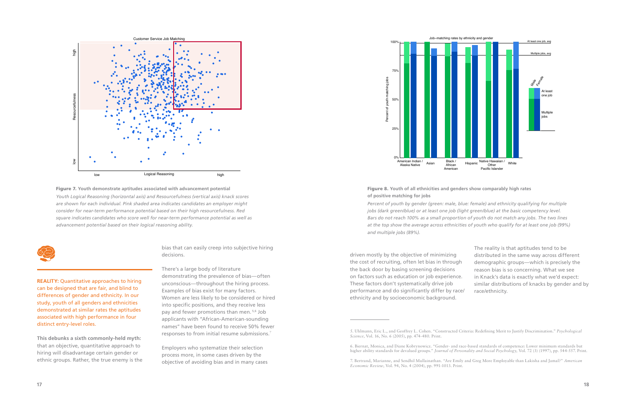



There's a large body of literature demonstrating the prevalence of bias—often unconscious—throughout the hiring process. Examples of bias exist for many factors. Women are less likely to be considered or hired into specific positions, and they receive less pay and fewer promotions than men. 5,6 Job applicants with "African-American-sounding names" have been found to receive 50% fewer responses to from initial resume submissions.<sup>7</sup>

**REALITY:** Quantitative approaches to hiring can be designed that are fair, and blind to differences of gender and ethnicity. In our study, youth of all genders and ethnicities demonstrated at similar rates the aptitudes associated with high performance in four distinct entry-level roles.

**This debunks a sixth commonly-held myth:**  that an objective, quantitative approach to hiring will disadvantage certain gender or ethnic groups. Rather, the true enemy is the bias that can easily creep into subjective hiring decisions.

Employers who systematize their selection process more, in some cases driven by the objective of avoiding bias and in many cases

driven mostly by the objective of minimizing the cost of recruiting, often let bias in through the back door by basing screening decisions on factors such as education or job experience. These factors don't systematically drive job performance and do significantly differ by rac ethnicity and by socioeconomic background.

5. Uhlmann, Eric L., and Geoffrey L. Cohen. "Constructed Criteria: Redefining Merit to Justify Discrimination." *Psychological* 

6. Biernat, Monica, and Diane Kobrynowicz. "Gender- and race-based standards of competence: Lower minimum standards but higher ability standards for devalued groups." *Journal of Personality and Social Psychology,* Vol. 72 (3) (1997), pp. 544-557. Print.

7. Bertrand, Marianne, and Sendhil Mullainathan. "Are Emily and Greg More Employable than Lakisha and Jamal?" *American* 

### Figure 8. **Youth of all ethnicities and genders show comparably high rates of positive matching for jobs**

*Percent of youth by gender (green: male, blue: female) and ethnicity qualifying for multiple jobs (dark green/blue) or at least one job (light green/blue) at the basic competency level. Bars do not reach 100% as a small proportion of youth do not match any jobs. The two lines at the top show the average across ethnicities of youth who qualify for at least one job (99%) and multiple jobs (89%).*





|    | The reality is that aptitudes tend to be         |
|----|--------------------------------------------------|
|    | distributed in the same way across different     |
|    | demographic groups—which is precisely the        |
|    | reason bias is so concerning. What we see        |
| È. | in Knack's data is exactly what we'd expect:     |
|    | similar distributions of knacks by gender and by |
| e/ | race/ethnicity.                                  |
|    |                                                  |

*Science,* Vol. 16, No. 6 (2005), pp. 474-480. Print.

*Economic Review,* Vol. 94, No. 4 (2004), pp. 991-1013. Print.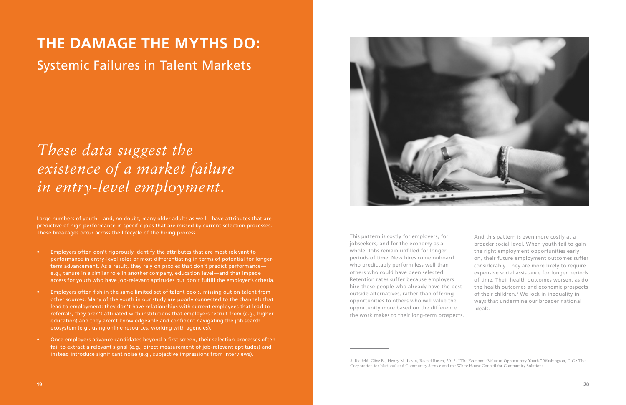## **THE DAMAGE THE MYTHS DO:**

Systemic Failures in Talent Markets

Large numbers of youth—and, no doubt, many older adults as well—have attributes that are predictive of high performance in specific jobs that are missed by current selection processes. These breakages occur across the lifecycle of the hiring process.

- Employers often don't rigorously identify the attributes that are most relevant to performance in entry-level roles or most differentiating in terms of potential for longerterm advancement. As a result, they rely on proxies that don't predict performance e.g., tenure in a similar role in another company, education level—and that impede access for youth who have job-relevant aptitudes but don't fulfill the employer's criteria.
- Employers often fish in the same limited set of talent pools, missing out on talent from other sources. Many of the youth in our study are poorly connected to the channels that lead to employment: they don't have relationships with current employees that lead to referrals, they aren't affiliated with institutions that employers recruit from (e.g., higher education) and they aren't knowledgeable and confident navigating the job search ecosystem (e.g., using online resources, working with agencies).
- Once employers advance candidates beyond a first screen, their selection processes often fail to extract a relevant signal (e.g., direct measurement of job-relevant aptitudes) and instead introduce significant noise (e.g., subjective impressions from interviews).



## *These data suggest the existence of a market failure in entry-level employment.*

This pattern is costly for employers, for jobseekers, and for the economy as a whole. Jobs remain unfilled for longer periods of time. New hires come onboard who predictably perform less well than others who could have been selected. Retention rates suffer because employers hire those people who already have the best outside alternatives, rather than offering opportunities to others who will value the opportunity more based on the difference the work makes to their long-term prospects. And this pattern is even more costly at a broader social level. When youth fail to gain the right employment opportunities early on, their future employment outcomes suffer considerably. They are more likely to require expensive social assistance for longer periods of time. Their health outcomes worsen, as do the health outcomes and economic prospects of their children.8 We lock in inequality in ways that undermine our broader national ideals.

8. Bielfeld, Clive R., Henry M. Levin, Rachel Rosen, 2012. "The Economic Value of Opportunity Youth." Washington, D.C.: The

Corporation for National and Community Service and the White House Council for Community Solutions.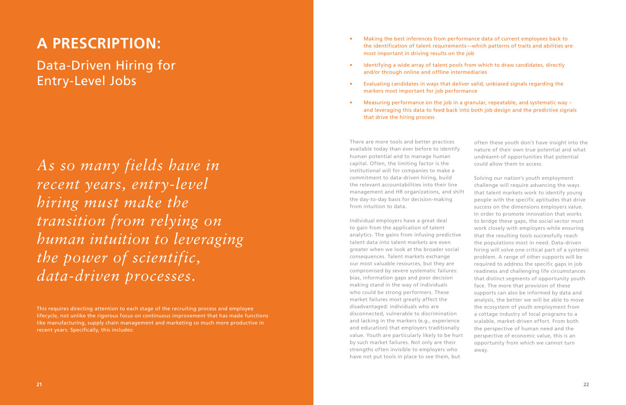### **A PRESCRIPTION:**

Data-Driven Hiring for Entry-Level Jobs

This requires directing attention to each stage of the recruiting process and employee lifecycle, not unlike the rigorous focus on continuous improvement that has made functions like manufacturing, supply chain management and marketing so much more productive in recent years. Specifically, this includes:

*As so many fields have in recent years, entry-level hiring must make the transition from relying on human intuition to leveraging the power of scientific, data-driven processes.*

- Making the best inferences from performance data of current employees back to the identification of talent requirements—which patterns of traits and abilities are most important in driving results on the job
- Identifying a wide array of talent pools from which to draw candidates, directly and/or through online and offline intermediaries
- Evaluating candidates in ways that deliver valid, unbiased signals regarding the markers most important for job performance
- Measuring performance on the job in a granular, repeatable, and systematic way and leveraging this data to feed back into both job design and the predictive signals that drive the hiring process

There are more tools and better practices available today than ever before to identify human potential and to manage human capital. Often, the limiting factor is the institutional will for companies to make a commitment to data-driven hiring, build the relevant accountabilities into their line management and HR organizations, and shift the day-to-day basis for decision-making from intuition to data.

Individual employers have a great deal to gain from the application of talent analytics. The gains from infusing predictive talent data into talent markets are even greater when we look at the broader social consequences. Talent markets exchange our most valuable resources, but they are compromised by severe systematic failures: bias, information gaps and poor decision making stand in the way of individuals who could be strong performers. These market failures most greatly affect the disadvantaged: individuals who are disconnected, vulnerable to discrimination and lacking in the markers (e.g., experience and education) that employers traditionally value. Youth are particularly likely to be hurt by such market failures. Not only are their strengths often invisible to employers who have not put tools in place to see them, but

often these youth don't have insight into the nature of their own true potential and what undreamt-of opportunities that potential could allow them to access.

Solving our nation's youth employment challenge will require advancing the ways that talent markets work to identify young people with the specific aptitudes that drive success on the dimensions employers value. In order to promote innovation that works to bridge these gaps, the social sector must work closely with employers while ensuring that the resulting tools successfully reach the populations most in need. Data-driven hiring will solve one critical part of a systemic problem. A range of other supports will be required to address the specific gaps in job readiness and challenging life circumstances that distinct segments of opportunity youth face. The more that provision of these supports can also be informed by data and analysis, the better we will be able to move the ecosystem of youth employment from a cottage industry of local programs to a scalable, market-driven effort. From both the perspective of human need and the perspective of economic value, this is an opportunity from which we cannot turn away.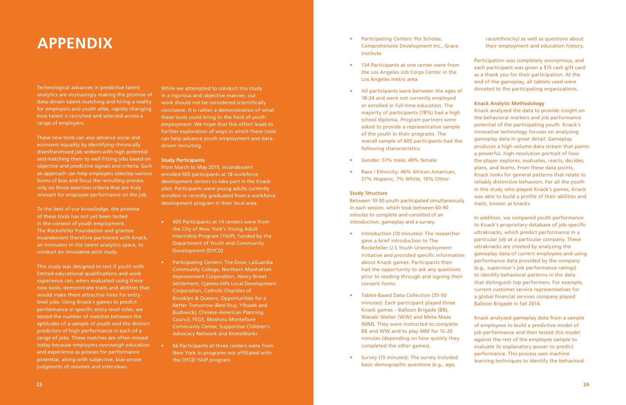### **APPENDIX**

Technological advances in predictive talent analytics are increasingly making the promise of data-driven talent matching and hiring a reality for employers and youth alike, rapidly changing how talent is recruited and selected across a range of employers.

These new tools can also advance social and economic equality by identifying chronically disenfranchised job seekers with high potential and matching them to well-fitting jobs based on objective and predictive signals and criteria. Such an approach can help employers sidestep various forms of bias and focus the recruiting process only on those selection criteria that are truly relevant for employee performance on the job.

To the best of our knowledge, the promise of these tools has not yet been tested in the context of youth employment. The Rockefeller Foundation and grantee Incandescent therefore partnered with Knack, an innovator in the talent analytics space, to conduct an innovative pilot study.

This study was designed to test if youth with limited educational qualifications and work experience can, when evaluated using these new tools, demonstrate traits and abilities that would make them attractive hires for entrylevel jobs. Using Knack's games to predict performance in specific entry-level roles, we tested the number of matches between the aptitudes of a sample of youth and the distinct predictors of high performance in each of a range of jobs. These matches are often missed today because employers overweigh education and experience as proxies for performance potential, along with subjective, bias-prone judgments of resumes and interviews.

While we attempted to conduct this study in a rigorous and objective manner, our work should not be considered scientifically conclusive. It is rather a demonstration of what these tools could bring to the field of youth employment. We hope that this effort leads to further exploration of ways in which these tools can help advance youth employment and datadriven recruiting.

#### **Study Participants**

From March to May 2015, Incandescent enrolled 605 participants at 18 workforce development centers to take part in the Knack pilot. Participants were young adults currently enrolled or recently graduated from a workforce development program in their local area.

- 405 Participants at 14 centers were from the City of New York's Young Adult Internship Program (YAIP), funded by the Department of Youth and Community Development (DYCD)
- Participating Centers: The Door, LaGuardia Community College, Northern Manhattan Improvement Corporation, Henry Street Settlement, Cypress Hills Local Development Corporation, Catholic Charities of Brooklyn & Queens, Opportunities for a Better Tomorrow (Bed-Stuy, YRoads and Bushwick), Chinese-American Planning Council, FEGS, Mosholu Montefiore Community Center, Supportive Children's Advocacy Network and BronxWorks
- 66 Participants at three centers were from New York in programs not affiliated with the DYCD YAIP program
- Participating Centers: Per Scholas, Comprehensive Development Inc., Grace Institute
- 134 Participants at one center were from the Los Angeles Job Corps Center in the Los Angeles metro area
- All participants were between the ages of 18-24 and were not currently employed or enrolled in full-time education. The majority of participants (78%) had a high school diploma. Program partners were asked to provide a representative sample of the youth in their programs. The overall sample of 605 participants had the following characteristics:
- Gender: 51% male, 49% female
- Race / Ethnicity: 46% African American, 37% Hispanic, 7% White, 10% Other

#### **Study Structure**

Between 10-50 youth participated simultaneously in each session, which took between 60-90 minutes to complete and consisted of an introduction, gameplay and a survey:

- Introduction (10 minutes): The researcher gave a brief introduction to The Rockefeller U.S Youth Unemployment initiative and provided specific information about Knack games. Participants then had the opportunity to ask any questions prior to reading through and signing their consent forms.
- Tablet-Based Data Collection (35-50 minutes): Each participant played three Knack games – Balloon Brigade (BB), Wasabi Waiter (WW) and Meta Maze (MM). They were instructed to complete BB and WW and to play MM for 15-20 minutes (depending on how quickly they completed the other games).
- Survey (15 minutes): The survey included basic demographic questions (e.g., age,

### race/ethnicity) as well as questions about their employment and education history.

Participation was completely anonymous, and each participant was given a \$15 cash gift card as a thank you for their participation. At the end of the gameplay, all tablets used were donated to the participating organizations.

### **Knack Analytic Methodology**

Knack analyzed the data to provide insight on the behavioral markers and job performance potential of the participating youth. Knack's innovative technology focuses on analyzing gameplay data in great detail. Gameplay produces a high-volume data stream that paints a powerful, high-resolution portrait of how the player explores, evaluates, reacts, decides, plans, and learns. From these data points, Knack looks for general patterns that relate to reliably distinctive behaviors. For all the youth in this study who played Knack's games, Knack was able to build a profile of their abilities and traits, known as knacks.

In addition, we compared youth performance to Knack's proprietary database of job-specific ultraknacks, which predict performance in a particular job at a particular company. These ultraknacks are created by analyzing the gameplay data of current employees and using performance data provided by the company (e.g., supervisor's job performance ratings) to identify behavioral patterns in the data that distinguish top performers. For example, current customer service representatives for a global financial services company played Balloon Brigade in fall 2014.

Knack analyzed gameplay data from a sample of employees to build a predictive model of job performance and then tested this model against the rest of the employee sample to evaluate its explanatory power to predict performance. This process uses machine learning techniques to identify the behavioral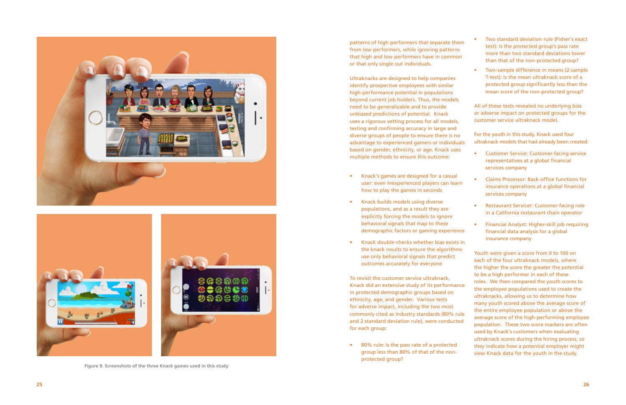patterns of high performers that separate ther from low performers, while ignoring patterns that high and low performers have in common or that only single out individuals.

Ultraknacks are designed to help companies identify prospective employees with similar high-performance potential in populations beyond current job holders. Thus, the models need to be generalizable and to provide unbiased predictions of potential. Knack uses a rigorous vetting process for all models, testing and confirming accuracy in large and diverse groups of people to ensure there is no advantage to experienced gamers or individual based on gender, ethnicity, or age. Knack uses multiple methods to ensure this outcome:

To revisit the customer service ultraknack, Knack did an extensive study of its performanc in protected demographic groups based on ethnicity, age, and gender. Various tests for adverse impact, including the two most commonly cited as industry standards (80% rul and 2 standard deviation rule), were conducted for each group:<br>
• 80% rule: Is the pass rate of a protected

- Knack's games are designed for a casual user: even inexperienced players can learn how to play the games in seconds
- Knack builds models using diverse populations, and as a result they are explicitly forcing the models to ignore behavioral signals that map to these demographic factors or gaming experience
- Knack double-checks whether bias exists in the knack results to ensure the algorithms use only behavioral signals that predict outcomes accurately for everyone

group less than 80% of that of the nonprotected group?

| Two standard deviation rule (Fisher's exact<br>test): Is the protected group's pass rate<br>more than two standard deviations lower<br>than that of the non-protected group?                                                                                                                                                                                                                                                                                                                                                                                                                                                    |
|---------------------------------------------------------------------------------------------------------------------------------------------------------------------------------------------------------------------------------------------------------------------------------------------------------------------------------------------------------------------------------------------------------------------------------------------------------------------------------------------------------------------------------------------------------------------------------------------------------------------------------|
| Two-sample difference in means (2-sample<br>T-test): Is the mean ultraknack score of a<br>protected group significantly less than the<br>mean score of the non-protected group?                                                                                                                                                                                                                                                                                                                                                                                                                                                 |
| All of these tests revealed no underlying bias<br>or adverse impact on protected groups for the<br>customer service ultraknack model.                                                                                                                                                                                                                                                                                                                                                                                                                                                                                           |
| For the youth in this study, Knack used four<br>ultraknack models that had already been created:                                                                                                                                                                                                                                                                                                                                                                                                                                                                                                                                |
| <b>Customer Service: Customer-facing service</b><br>representatives at a global financial<br>services company                                                                                                                                                                                                                                                                                                                                                                                                                                                                                                                   |
| <b>Claims Processor: Back-office functions for</b><br>insurance operations at a global financial<br>services company                                                                                                                                                                                                                                                                                                                                                                                                                                                                                                            |
| <b>Restaurant Servicer: Customer-facing role</b><br>in a California restaurant chain operator                                                                                                                                                                                                                                                                                                                                                                                                                                                                                                                                   |
| Financial Analyst: Higher-skill job requiring<br>financial data analysis for a global<br>insurance company                                                                                                                                                                                                                                                                                                                                                                                                                                                                                                                      |
| Youth were given a score from 0 to 100 on<br>each of the four ultraknack models, where<br>the higher the score the greater the potential<br>to be a high performer in each of these<br>roles. We then compared the youth scores to<br>the employee populations used to create the<br>ultraknacks, allowing us to determine how<br>many youth scored above the average score of<br>the entire employee population or above the<br>average score of the high-performing employee<br>population. These two score markers are often<br>used by Knack's customers when evaluating<br>ultraknack scores during the hiring process, so |





**Figure 9. Screenshots of the three Knack games used in this study**